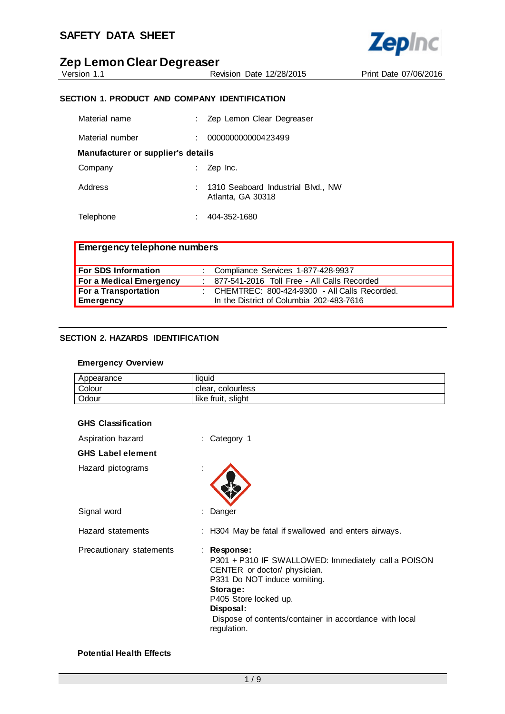



#### Revision Date 12/28/2015 Print Date 07/06/2016

#### **SECTION 1. PRODUCT AND COMPANY IDENTIFICATION**

| Material name                      | Zep Lemon Clear Degreaser                               |
|------------------------------------|---------------------------------------------------------|
| Material number                    | 000000000000423499                                      |
| Manufacturer or supplier's details |                                                         |
| Company                            | Zep Inc.                                                |
| Address                            | 1310 Seaboard Industrial Blvd., NW<br>Atlanta, GA 30318 |
| Telephone                          | 404-352-1680                                            |

| <b>Emergency telephone numbers</b> |                                                |
|------------------------------------|------------------------------------------------|
| For SDS Information                | : Compliance Services 1-877-428-9937           |
| For a Medical Emergency            | : 877-541-2016 Toll Free - All Calls Recorded  |
| For a Transportation               | : CHEMTREC: 800-424-9300 - All Calls Recorded. |
| <b>Emergency</b>                   | In the District of Columbia 202-483-7616       |

#### **SECTION 2. HAZARDS IDENTIFICATION**

#### **Emergency Overview**

| Appearance | liauid             |
|------------|--------------------|
| Colour     | clear, colourless  |
| Odour      | like fruit, slight |

| <b>GHS Classification</b> |                                                                                                                                                                                                                                                               |
|---------------------------|---------------------------------------------------------------------------------------------------------------------------------------------------------------------------------------------------------------------------------------------------------------|
| Aspiration hazard         | : Category 1                                                                                                                                                                                                                                                  |
| <b>GHS Label element</b>  |                                                                                                                                                                                                                                                               |
| Hazard pictograms         | ÷                                                                                                                                                                                                                                                             |
| Signal word               | Danger                                                                                                                                                                                                                                                        |
| Hazard statements         | : H304 May be fatal if swallowed and enters airways.                                                                                                                                                                                                          |
| Precautionary statements  | : Response:<br>P301 + P310 IF SWALLOWED: Immediately call a POISON<br>CENTER or doctor/ physician.<br>P331 Do NOT induce vomiting.<br>Storage:<br>P405 Store locked up.<br>Disposal:<br>Dispose of contents/container in accordance with local<br>regulation. |

#### **Potential Health Effects**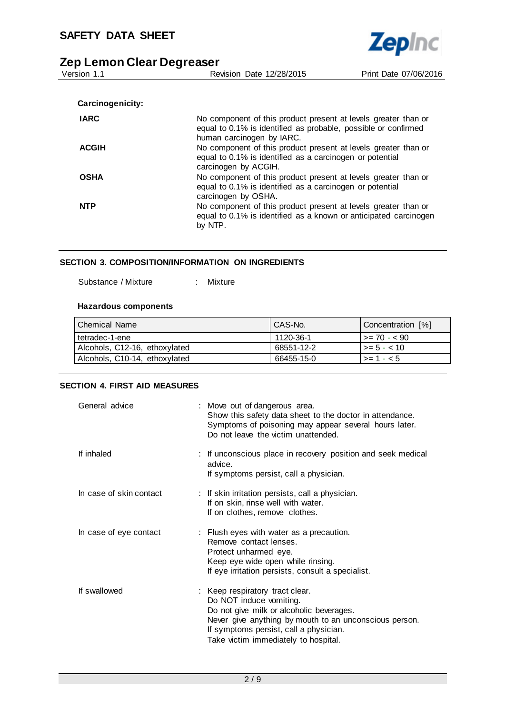| בכט בפוווטוו טוכפו בפקו כפאכו |                                                                                                                                                               |                       |  |  |  |
|-------------------------------|---------------------------------------------------------------------------------------------------------------------------------------------------------------|-----------------------|--|--|--|
| Version 1.1                   | Revision Date 12/28/2015                                                                                                                                      | Print Date 07/06/2016 |  |  |  |
|                               |                                                                                                                                                               |                       |  |  |  |
| Carcinogenicity:              |                                                                                                                                                               |                       |  |  |  |
| <b>IARC</b>                   | No component of this product present at levels greater than or<br>equal to 0.1% is identified as probable, possible or confirmed<br>human carcinogen by IARC. |                       |  |  |  |
| <b>ACGIH</b>                  | No component of this product present at levels greater than or<br>equal to 0.1% is identified as a carcinogen or potential<br>carcinogen by ACGIH.            |                       |  |  |  |
| <b>OSHA</b>                   | No component of this product present at levels greater than or<br>equal to 0.1% is identified as a carcinogen or potential<br>carcinogen by OSHA.             |                       |  |  |  |
| <b>NTP</b>                    | No component of this product present at levels greater than or<br>equal to 0.1% is identified as a known or anticipated carcinogen<br>by NTP.                 |                       |  |  |  |

**Zepinc** 

#### **SECTION 3. COMPOSITION/INFORMATION ON INGREDIENTS**

Substance / Mixture : Mixture

#### **Hazardous components**

| l Chemical Name               | CAS-No.    | Concentration [%]   |
|-------------------------------|------------|---------------------|
| I tetradec-1-ene              | 1120-36-1  | $1 > = 70 - 90$     |
| Alcohols, C12-16, ethoxylated | 68551-12-2 | $\vert$ >= 5 - < 10 |
| Alcohols, C10-14, ethoxylated | 66455-15-0 | $\vert$ >= 1 - < 5  |

#### **SECTION 4. FIRST AID MEASURES**

| General advice          | : Move out of dangerous area.<br>Show this safety data sheet to the doctor in attendance.<br>Symptoms of poisoning may appear several hours later.<br>Do not leave the victim unattended.                                                          |
|-------------------------|----------------------------------------------------------------------------------------------------------------------------------------------------------------------------------------------------------------------------------------------------|
| If inhaled              | : If unconscious place in recovery position and seek medical<br>advice.<br>If symptoms persist, call a physician.                                                                                                                                  |
| In case of skin contact | : If skin irritation persists, call a physician.<br>If on skin, rinse well with water.<br>If on clothes, remove clothes.                                                                                                                           |
| In case of eye contact  | : Flush eyes with water as a precaution.<br>Remove contact lenses.<br>Protect unharmed eye.<br>Keep eye wide open while rinsing.<br>If eye irritation persists, consult a specialist.                                                              |
| If swallowed            | : Keep respiratory tract clear.<br>Do NOT induce vomiting.<br>Do not give milk or alcoholic beverages.<br>Never give anything by mouth to an unconscious person.<br>If symptoms persist, call a physician.<br>Take victim immediately to hospital. |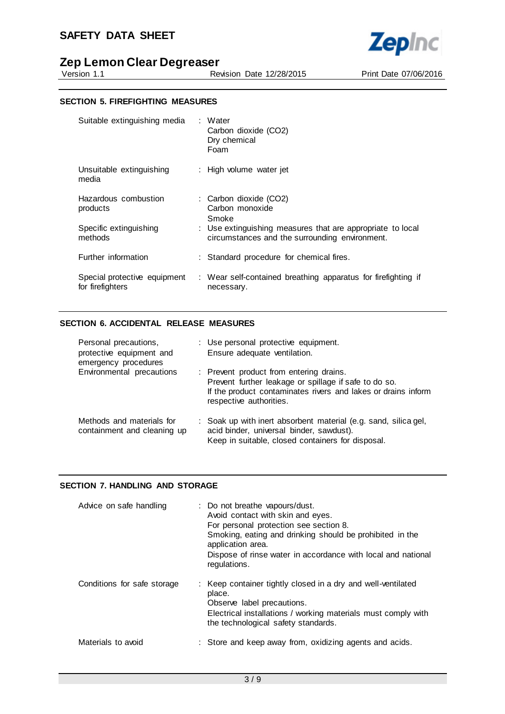## **SAFETY DATA SHEET**



Revision Date 12/28/2015 Print Date 07/06/2016

**Zepinc** 

#### **SECTION 5. FIREFIGHTING MEASURES**

| Suitable extinguishing media                     | : Water<br>Carbon dioxide (CO2)<br>Dry chemical<br>Foam                                                      |
|--------------------------------------------------|--------------------------------------------------------------------------------------------------------------|
| Unsuitable extinguishing<br>media                | : High volume water jet                                                                                      |
| Hazardous combustion<br>products                 | : Carbon dioxide (CO2)<br>Carbon monoxide<br>Smoke                                                           |
| Specific extinguishing<br>methods                | : Use extinguishing measures that are appropriate to local<br>circumstances and the surrounding environment. |
| Further information                              | : Standard procedure for chemical fires.                                                                     |
| Special protective equipment<br>for firefighters | : Wear self-contained breathing apparatus for firefighting if<br>necessary.                                  |

#### **SECTION 6. ACCIDENTAL RELEASE MEASURES**

| Personal precautions,<br>protective equipment and<br>emergency procedures | : Use personal protective equipment.<br>Ensure adequate ventilation.                                                                                                                         |
|---------------------------------------------------------------------------|----------------------------------------------------------------------------------------------------------------------------------------------------------------------------------------------|
| Environmental precautions                                                 | : Prevent product from entering drains.<br>Prevent further leakage or spillage if safe to do so.<br>If the product contaminates rivers and lakes or drains inform<br>respective authorities. |
| Methods and materials for<br>containment and cleaning up                  | : Soak up with inert absorbent material (e.g. sand, silica gel,<br>acid binder, universal binder, sawdust).<br>Keep in suitable, closed containers for disposal.                             |

#### **SECTION 7. HANDLING AND STORAGE**

| Advice on safe handling     | : Do not breathe vapours/dust.<br>Avoid contact with skin and eyes.<br>For personal protection see section 8.<br>Smoking, eating and drinking should be prohibited in the<br>application area.<br>Dispose of rinse water in accordance with local and national<br>regulations. |
|-----------------------------|--------------------------------------------------------------------------------------------------------------------------------------------------------------------------------------------------------------------------------------------------------------------------------|
| Conditions for safe storage | : Keep container tightly closed in a dry and well-ventilated<br>place.<br>Observe label precautions.<br>Electrical installations / working materials must comply with<br>the technological safety standards.                                                                   |
| Materials to avoid          | : Store and keep away from, oxidizing agents and acids.                                                                                                                                                                                                                        |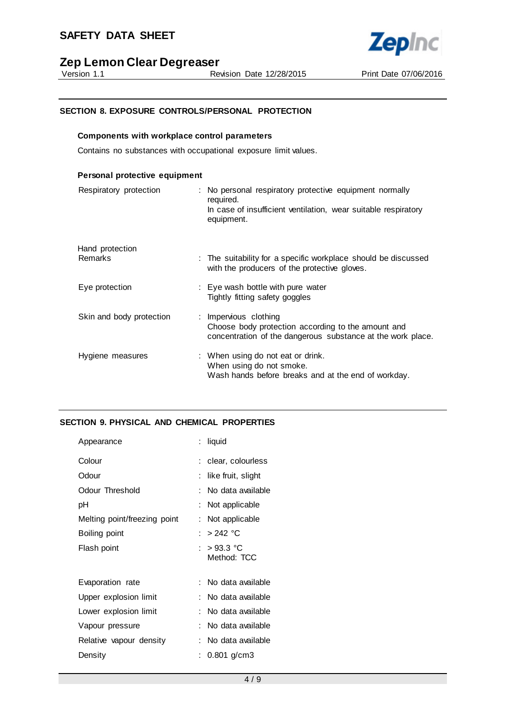

# **Zep Lemon Clear Degreaser**<br>**Reprision 1.1**

#### **SECTION 8. EXPOSURE CONTROLS/PERSONAL PROTECTION**

#### **Components with workplace control parameters**

Contains no substances with occupational exposure limit values.

| Personal protective equipment     |                                                                                                                                                      |
|-----------------------------------|------------------------------------------------------------------------------------------------------------------------------------------------------|
| Respiratory protection            | : No personal respiratory protective equipment normally<br>required.<br>In case of insufficient ventilation, wear suitable respiratory<br>equipment. |
| Hand protection<br><b>Remarks</b> | : The suitability for a specific workplace should be discussed<br>with the producers of the protective gloves.                                       |
| Eye protection                    | : Eye wash bottle with pure water<br>Tightly fitting safety goggles                                                                                  |
| Skin and body protection          | : Impervious clothing<br>Choose body protection according to the amount and<br>concentration of the dangerous substance at the work place.           |
| Hygiene measures                  | : When using do not eat or drink.<br>When using do not smoke.<br>Wash hands before breaks and at the end of workday.                                 |

#### **SECTION 9. PHYSICAL AND CHEMICAL PROPERTIES**

| Appearance                   | liquid                      |
|------------------------------|-----------------------------|
| Colour                       | : clear, colourless         |
| Odour                        | like fruit, slight          |
| Odour Threshold              | No data available           |
| рH                           | Not applicable              |
| Melting point/freezing point | Not applicable              |
| Boiling point                | : > 242 °C                  |
| Flash point                  | : $>93.3$ °C<br>Method: TCC |
| Evaporation rate             | : No data available         |
| Upper explosion limit        | No data available           |
| Lower explosion limit        | No data available           |
| Vapour pressure              | No data available           |
| Relative vapour density      | No data available           |
| Density                      | $0.801$ g/cm3               |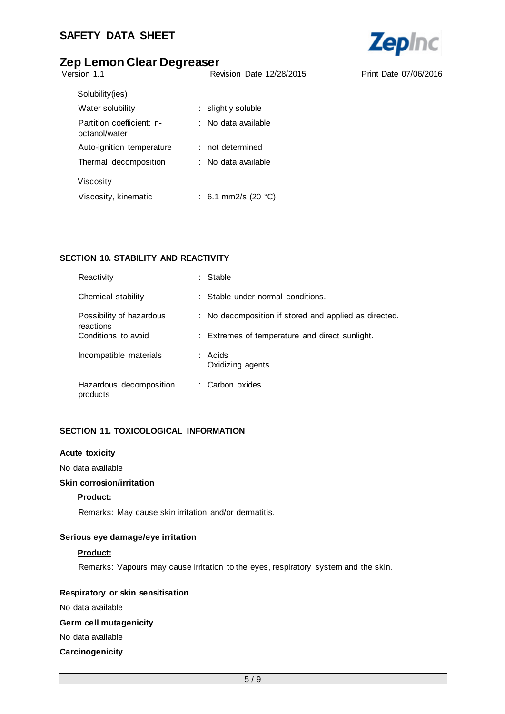

| Version 1.1                                | Revision Date 12/28/2015      | Print Date 07/06/2016 |
|--------------------------------------------|-------------------------------|-----------------------|
| Solubility (ies)                           |                               |                       |
| Water solubility                           | $:$ slightly soluble          |                       |
| Partition coefficient: n-<br>octanol/water | : No data available           |                       |
| Auto-ignition temperature                  | : not determined              |                       |
| Thermal decomposition                      | : No data available           |                       |
| Viscosity                                  |                               |                       |
| Viscosity, kinematic                       | : 6.1 mm2/s (20 $^{\circ}$ C) |                       |
|                                            |                               |                       |

## **SECTION 10. STABILITY AND REACTIVITY**

| Reactivity                            | Stable                                                |
|---------------------------------------|-------------------------------------------------------|
| Chemical stability                    | : Stable under normal conditions.                     |
| Possibility of hazardous<br>reactions | : No decomposition if stored and applied as directed. |
| Conditions to avoid                   | : Extremes of temperature and direct sunlight.        |
| Incompatible materials                | : Acids<br>Oxidizing agents                           |
| Hazardous decomposition<br>products   | : Carbon oxides                                       |

#### **SECTION 11. TOXICOLOGICAL INFORMATION**

#### **Acute toxicity**

No data available

#### **Skin corrosion/irritation**

#### **Product:**

Remarks: May cause skin irritation and/or dermatitis.

#### **Serious eye damage/eye irritation**

#### **Product:**

Remarks: Vapours may cause irritation to the eyes, respiratory system and the skin.

#### **Respiratory or skin sensitisation**

No data available

#### **Germ cell mutagenicity**

### No data available

#### **Carcinogenicity**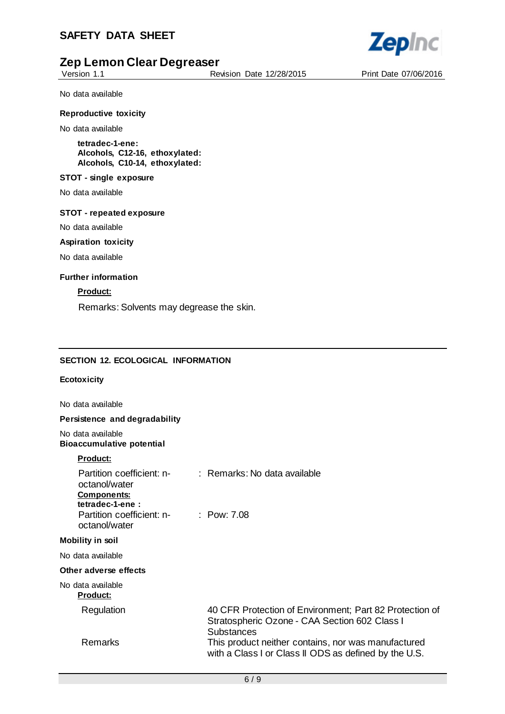Version 1.1 Revision Date 12/28/2015 Print Date 07/06/2016

**Zepinc** 

No data available

#### **Reproductive toxicity**

No data available

**tetradec-1-ene: Alcohols, C12-16, ethoxylated: Alcohols, C10-14, ethoxylated:**

#### **STOT - single exposure**

No data available

#### **STOT - repeated exposure**

No data available

#### **Aspiration toxicity**

No data available

#### **Further information**

#### **Product:**

Remarks: Solvents may degrease the skin.

#### **SECTION 12. ECOLOGICAL INFORMATION**

#### **Ecotoxicity**

No data available

#### **Persistence and degradability**

No data available **Bioaccumulative potential**

#### **Product:**

| octanol/water<br><b>Components:</b><br>tetradec-1-ene: | Partition coefficient: n- : Remarks: No data available                                                                        |
|--------------------------------------------------------|-------------------------------------------------------------------------------------------------------------------------------|
| Partition coefficient: n- : Pow: 7.08<br>octanol/water |                                                                                                                               |
| Mobility in soil                                       |                                                                                                                               |
| No data available                                      |                                                                                                                               |
| Other adverse effects                                  |                                                                                                                               |
| No data available<br><b>Product:</b>                   |                                                                                                                               |
| Regulation                                             | 40 CFR Protection of Environment; Part 82 Protection of<br>Stratospheric Ozone - CAA Section 602 Class I<br><b>Substances</b> |
| Remarks                                                | This product neither contains, nor was manufactured<br>with a Class I or Class II ODS as defined by the U.S.                  |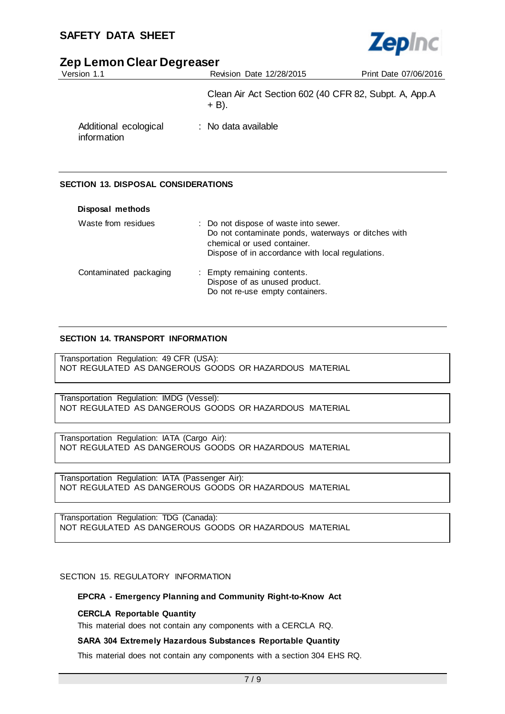## **SAFETY DATA SHEET**



# **Zep Lemon Clear Degreaser**

| Version 1.1                          | <b>Revision Date 12/28/2015</b>                                   | Print Date 07/06/2016 |
|--------------------------------------|-------------------------------------------------------------------|-----------------------|
|                                      | Clean Air Act Section 602 (40 CFR 82, Subpt. A, App.A<br>$+ B$ ). |                       |
| Additional ecological<br>information | : No data available                                               |                       |

#### **SECTION 13. DISPOSAL CONSIDERATIONS**

| Disposal methods       |                                                                                                                                                                                 |
|------------------------|---------------------------------------------------------------------------------------------------------------------------------------------------------------------------------|
| Waste from residues    | : Do not dispose of waste into sewer.<br>Do not contaminate ponds, waterways or ditches with<br>chemical or used container.<br>Dispose of in accordance with local regulations. |
| Contaminated packaging | : Empty remaining contents.<br>Dispose of as unused product.<br>Do not re-use empty containers.                                                                                 |

#### **SECTION 14. TRANSPORT INFORMATION**

Transportation Regulation: 49 CFR (USA): NOT REGULATED AS DANGEROUS GOODS OR HAZARDOUS MATERIAL

Transportation Regulation: IMDG (Vessel): NOT REGULATED AS DANGEROUS GOODS OR HAZARDOUS MATERIAL

Transportation Regulation: IATA (Cargo Air): NOT REGULATED AS DANGEROUS GOODS OR HAZARDOUS MATERIAL

Transportation Regulation: IATA (Passenger Air): NOT REGULATED AS DANGEROUS GOODS OR HAZARDOUS MATERIAL

Transportation Regulation: TDG (Canada): NOT REGULATED AS DANGEROUS GOODS OR HAZARDOUS MATERIAL

#### SECTION 15. REGULATORY INFORMATION

#### **EPCRA - Emergency Planning and Community Right-to-Know Act**

#### **CERCLA Reportable Quantity**

This material does not contain any components with a CERCLA RQ.

#### **SARA 304 Extremely Hazardous Substances Reportable Quantity**

This material does not contain any components with a section 304 EHS RQ.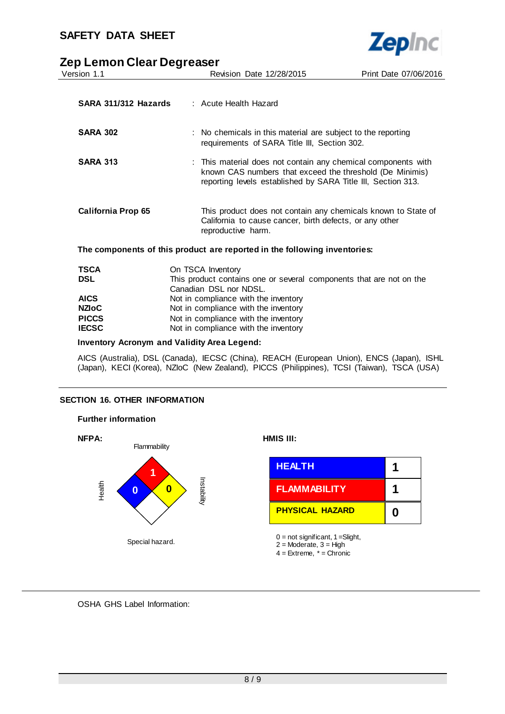

| Version 1.1                                        | Revision Date 12/28/2015                                                                                                                                                                  | Print Date 07/06/2016 |
|----------------------------------------------------|-------------------------------------------------------------------------------------------------------------------------------------------------------------------------------------------|-----------------------|
|                                                    |                                                                                                                                                                                           |                       |
| SARA 311/312 Hazards                               | $\therefore$ Acute Health Hazard                                                                                                                                                          |                       |
| <b>SARA 302</b>                                    | : No chemicals in this material are subject to the reporting<br>requirements of SARA Title III, Section 302.                                                                              |                       |
| <b>SARA 313</b>                                    | : This material does not contain any chemical components with<br>known CAS numbers that exceed the threshold (De Minimis)<br>reporting levels established by SARA Title III, Section 313. |                       |
| <b>California Prop 65</b>                          | This product does not contain any chemicals known to State of<br>California to cause cancer, birth defects, or any other<br>reproductive harm.                                            |                       |
|                                                    | The components of this product are reported in the following inventories:                                                                                                                 |                       |
| <b>TSCA</b>                                        | On TSCA Inventory                                                                                                                                                                         |                       |
| <b>DSL</b>                                         | This product contains one or several components that are not on the<br>Canadian DSL nor NDSL.                                                                                             |                       |
| <b>AICS</b>                                        | Not in compliance with the inventory                                                                                                                                                      |                       |
| <b>NZIOC</b>                                       | Not in compliance with the inventory                                                                                                                                                      |                       |
| <b>PICCS</b>                                       | Not in compliance with the inventory                                                                                                                                                      |                       |
| <b>IECSC</b>                                       | Not in compliance with the inventory                                                                                                                                                      |                       |
| <b>Inventory Acronym and Validity Area Legend:</b> |                                                                                                                                                                                           |                       |

AICS (Australia), DSL (Canada), IECSC (China), REACH (European Union), ENCS (Japan), ISHL (Japan), KECI (Korea), NZIoC (New Zealand), PICCS (Philippines), TCSI (Taiwan), TSCA (USA)

#### **SECTION 16. OTHER INFORMATION**



OSHA GHS Label Information: